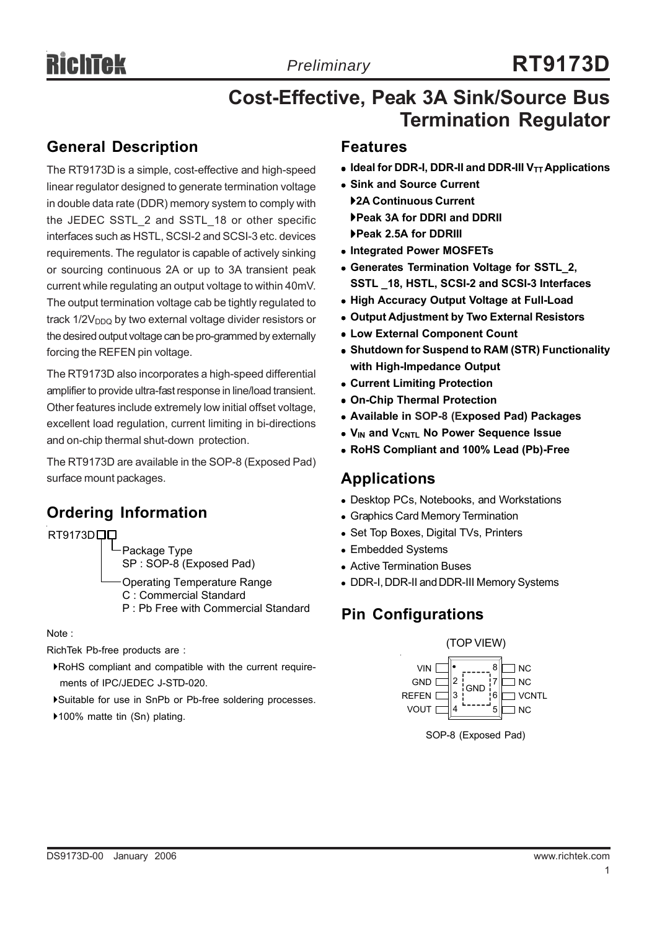# **RT9173D**

## **Cost-Effective, Peak 3A Sink/Source Bus Termination Regulator**

## **General Description**

The RT9173D is a simple, cost-effective and high-speed linear regulator designed to generate termination voltage in double data rate (DDR) memory system to comply with the JEDEC SSTL\_2 and SSTL\_18 or other specific interfaces such as HSTL, SCSI-2 and SCSI-3 etc. devices requirements. The regulator is capable of actively sinking or sourcing continuous 2A or up to 3A transient peak current while regulating an output voltage to within 40mV. The output termination voltage cab be tightly regulated to track  $1/2V<sub>DDQ</sub>$  by two external voltage divider resistors or the desired output voltage can be pro-grammed by externally forcing the REFEN pin voltage.

The RT9173D also incorporates a high-speed differential amplifier to provide ultra-fast response in line/load transient. Other features include extremely low initial offset voltage, excellent load regulation, current limiting in bi-directions and on-chip thermal shut-down protection.

The RT9173D are available in the SOP-8 (Exposed Pad) surface mount packages.

## **Ordering Information**

Package Type SP : SOP-8 (Exposed Pad) Operating Temperature Range C : Commercial Standard P : Pb Free with Commercial Standard RT9173D<sub>D</sub>

Note :

RichTek Pb-free products are :

- `RoHS compliant and compatible with the current require ments of IPC/JEDEC J-STD-020.
- `Suitable for use in SnPb or Pb-free soldering processes.
- ▶100% matte tin (Sn) plating.

## **Features**

- **Ideal for DDR-I, DDR-II and DDR-III V<sub>TT</sub> Applications**
- **Sink and Source Current**
- `**2A Continuous Current** `**Peak 3A for DDRI and DDRII** `**Peak 2.5A for DDRIII**
- **Integrated Power MOSFETs**
- **Generates Termination Voltage for SSTL 2, SSTL \_18, HSTL, SCSI-2 and SCSI-3 Interfaces**
- **High Accuracy Output Voltage at Full-Load**
- **Output Adjustment by Two External Resistors**
- **Low External Component Count**
- **Shutdown for Suspend to RAM (STR) Functionality with High-Impedance Output**
- <sup>z</sup> **Current Limiting Protection**
- <sup>z</sup> **On-Chip Thermal Protection**
- <sup>z</sup> **Available in SOP-8 (Exposed Pad) Packages**
- **V<sub>IN</sub> and V<sub>CNTL</sub> No Power Sequence Issue**
- <sup>z</sup> **RoHS Compliant and 100% Lead (Pb)-Free**

## **Applications**

- Desktop PCs, Notebooks, and Workstations
- Graphics Card Memory Termination
- Set Top Boxes, Digital TVs, Printers
- Embedded Systems
- Active Termination Buses
- DDR-I, DDR-II and DDR-III Memory Systems

## **Pin Configurations**



SOP-8 (Exposed Pad)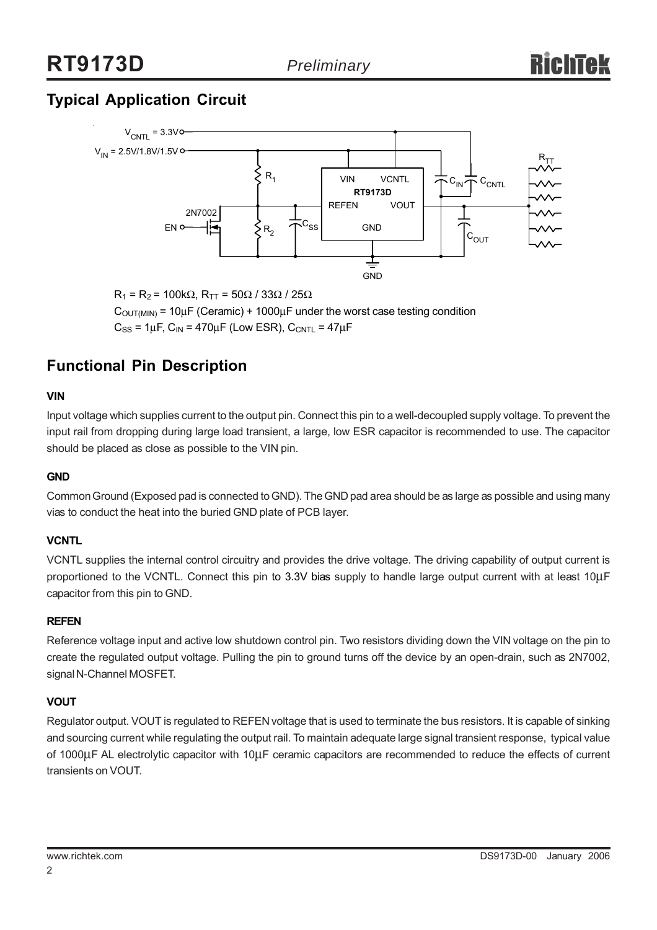## **Typical Application Circuit**



 $R_1$  = R<sub>2</sub> = 100kΩ, R<sub>TT</sub> = 50Ω / 33Ω / 25Ω  $C_{\text{OUT(MIN)}} = 10 \mu F$  (Ceramic) + 1000 $\mu$ F under the worst case testing condition  $C_{SS}$  = 1 $\mu$ F,  $C_{IN}$  = 470 $\mu$ F (Low ESR),  $C_{CNTL}$  = 47 $\mu$ F

## **Functional Pin Description**

#### **VIN**

Input voltage which supplies current to the output pin. Connect this pin to a well-decoupled supply voltage. To prevent the input rail from dropping during large load transient, a large, low ESR capacitor is recommended to use. The capacitor should be placed as close as possible to the VIN pin.

#### **GND**

Common Ground (Exposed pad is connected to GND). The GND pad area should be as large as possible and using many vias to conduct the heat into the buried GND plate of PCB layer.

#### **VCNTL**

VCNTL supplies the internal control circuitry and provides the drive voltage. The driving capability of output current is proportioned to the VCNTL. Connect this pin to 3.3V bias supply to handle large output current with at least 10μF capacitor from this pin to GND.

#### **REFEN**

Reference voltage input and active low shutdown control pin. Two resistors dividing down the VIN voltage on the pin to create the regulated output voltage. Pulling the pin to ground turns off the device by an open-drain, such as 2N7002, signal N-Channel MOSFET.

#### **VOUT**

Regulator output. VOUT is regulated to REFEN voltage that is used to terminate the bus resistors. It is capable of sinking and sourcing current while regulating the output rail. To maintain adequate large signal transient response, typical value of 1000μF AL electrolytic capacitor with 10μF ceramic capacitors are recommended to reduce the effects of current transients on VOUT.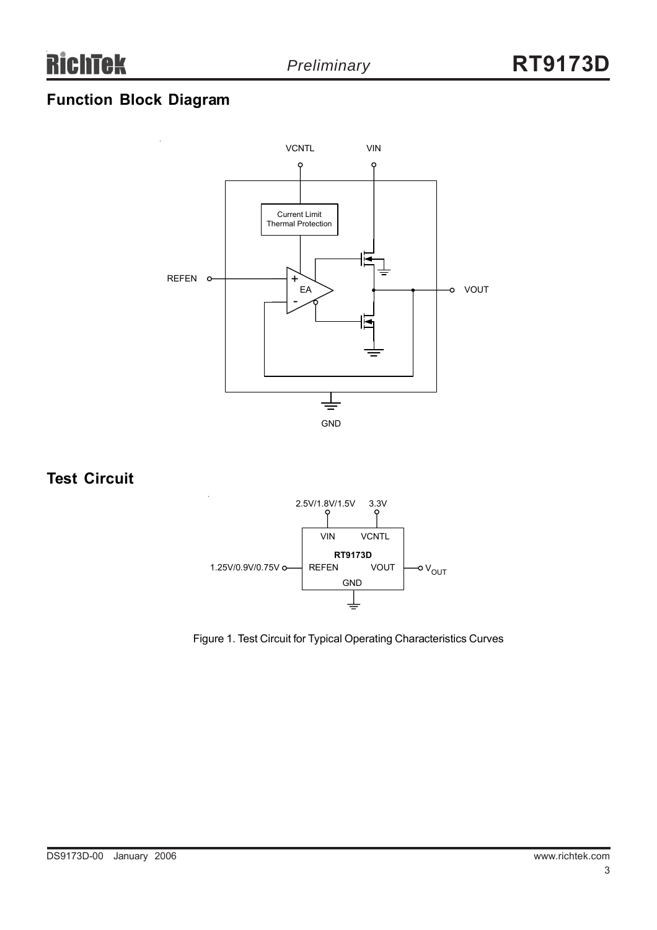## **Function Block Diagram**



## **Test Circuit**



Figure 1. Test Circuit for Typical Operating Characteristics Curves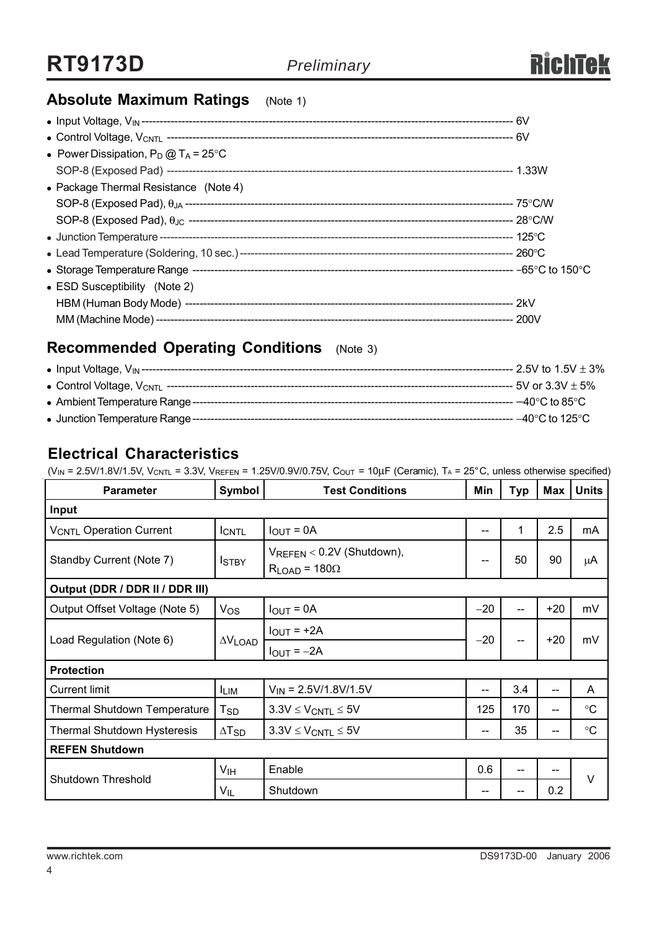## **Absolute Maximum Ratings** (Note 1)

| • Power Dissipation, $P_D @ T_A = 25^{\circ}C$ |  |
|------------------------------------------------|--|
|                                                |  |
| • Package Thermal Resistance (Note 4)          |  |
|                                                |  |
|                                                |  |
|                                                |  |
|                                                |  |
|                                                |  |
| • ESD Susceptibility (Note 2)                  |  |
|                                                |  |
|                                                |  |

## **Recommended Operating Conditions** (Note 3)

| • Input Voltage, $V_{IN}$ --------------   | --- 2.5V to 1.5V $\pm$ 3%            |
|--------------------------------------------|--------------------------------------|
| • Control Voltage, V <sub>CNTL</sub> ----- | $-5V$ or 3.3V $\pm$ 5%               |
| • Ambient Temperature Range --             | $-40^{\circ}$ C to 85 $^{\circ}$ C . |
| • Junction Temperature Range --            | $-40^{\circ}$ C to 125 $^{\circ}$ C  |

## **Electrical Characteristics**

(V<sub>IN</sub> = 2.5V/1.8V/1.5V, V<sub>CNTL</sub> = 3.3V, V<sub>REFEN</sub> = 1.25V/0.9V/0.75V, C<sub>OUT</sub> = 10µF (Ceramic), T<sub>A</sub> = 25°C, unless otherwise specified)

| <b>Parameter</b>                    | Symbol                     | <b>Test Conditions</b>                                        | Min   | Typ | Max   | <b>Units</b>      |  |
|-------------------------------------|----------------------------|---------------------------------------------------------------|-------|-----|-------|-------------------|--|
| Input                               |                            |                                                               |       |     |       |                   |  |
| <b>VCNTL Operation Current</b>      | <b>ICNTL</b>               | $I_{OUT} = 0A$                                                | --    |     | 2.5   | mA                |  |
| Standby Current (Note 7)            | <b>I</b> STBY              | VREFEN < 0.2V (Shutdown),<br>$-$<br>$R_{LOAD}$ = 180 $\Omega$ |       | 50  | 90    | μA                |  |
| Output (DDR / DDR II / DDR III)     |                            |                                                               |       |     |       |                   |  |
| Output Offset Voltage (Note 5)      | $V_{OS}$                   | $I_{OUT} = 0A$                                                | $-20$ |     | $+20$ | mV                |  |
| Load Regulation (Note 6)            |                            | $I_{OUT}$ = +2A                                               | $-20$ |     | $+20$ | mV                |  |
|                                     | $\Delta V$ LOAD            | $I_{OUT} = -2A$                                               |       |     |       |                   |  |
| <b>Protection</b>                   |                            |                                                               |       |     |       |                   |  |
| <b>Current limit</b>                | <b>ILIM</b>                | $V_{IN}$ = 2.5V/1.8V/1.5V                                     | $-$   | 3.4 | $-$   | A                 |  |
| <b>Thermal Shutdown Temperature</b> | $\mathsf{T}_{\mathsf{SD}}$ | $3.3V \leq V_{CNTL} \leq 5V$                                  | 125   | 170 | $-$   | $^{\circ}C$       |  |
| <b>Thermal Shutdown Hysteresis</b>  | $\Delta$ T <sub>SD</sub>   | $3.3V \leq V_{CNTL} \leq 5V$                                  | --    | 35  | --    | $^{\circ}{\rm C}$ |  |
| <b>REFEN Shutdown</b>               |                            |                                                               |       |     |       |                   |  |
| Shutdown Threshold                  | V <sub>IH</sub>            | Enable                                                        | 0.6   | --  |       | $\vee$            |  |
|                                     | V <sub>IL</sub>            | Shutdown                                                      | --    |     | 0.2   |                   |  |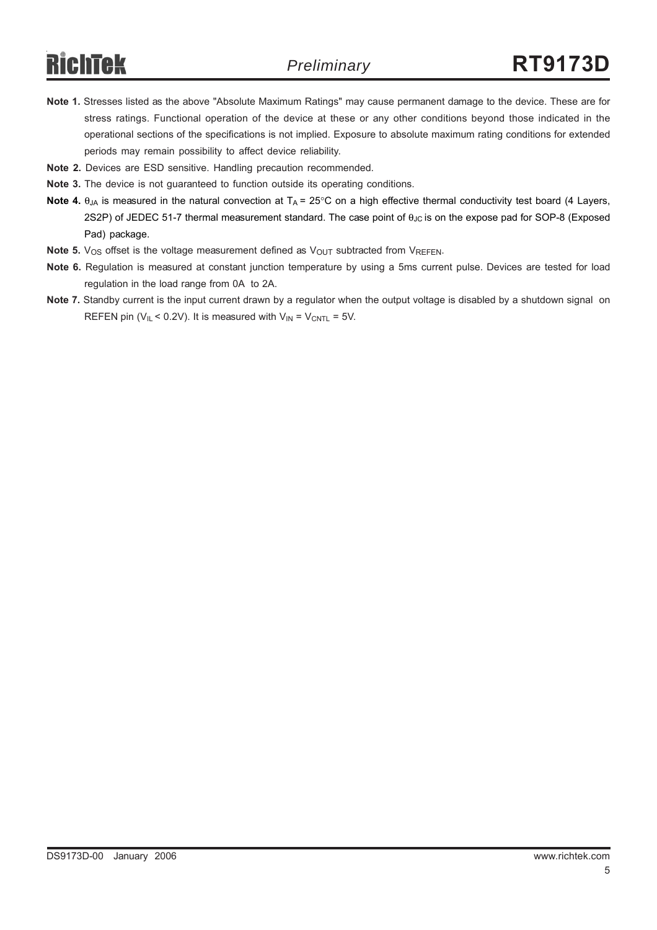- **Note 1.** Stresses listed as the above "Absolute Maximum Ratings" may cause permanent damage to the device. These are for stress ratings. Functional operation of the device at these or any other conditions beyond those indicated in the operational sections of the specifications is not implied. Exposure to absolute maximum rating conditions for extended periods may remain possibility to affect device reliability.
- **Note 2.** Devices are ESD sensitive. Handling precaution recommended.
- **Note 3.** The device is not guaranteed to function outside its operating conditions.
- **Note 4.**  $\theta_{JA}$  is measured in the natural convection at  $T_A = 25^\circ$ C on a high effective thermal conductivity test board (4 Layers, 2S2P) of JEDEC 51-7 thermal measurement standard. The case point of θ<sub>JC</sub> is on the expose pad for SOP-8 (Exposed Pad) package.
- **Note 5.**  $V_{OS}$  offset is the voltage measurement defined as  $V_{OUT}$  subtracted from  $V_{REFEN}$ .
- **Note 6.** Regulation is measured at constant junction temperature by using a 5ms current pulse. Devices are tested for load regulation in the load range from 0A to 2A.
- **Note 7.** Standby current is the input current drawn by a regulator when the output voltage is disabled by a shutdown signal on REFEN pin ( $V_{IL}$  < 0.2V). It is measured with  $V_{IN}$  =  $V_{CNTL}$  = 5V.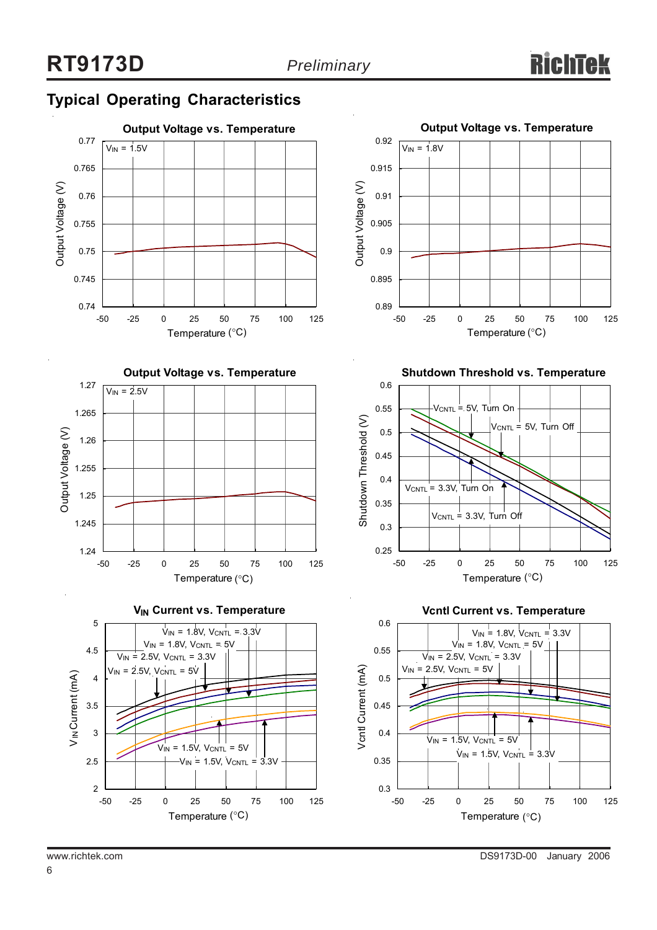## **Typical Operating Characteristics**











**Shutdown Threshold vs. Temperature**



**Vcntl Current vs. Temperature**



6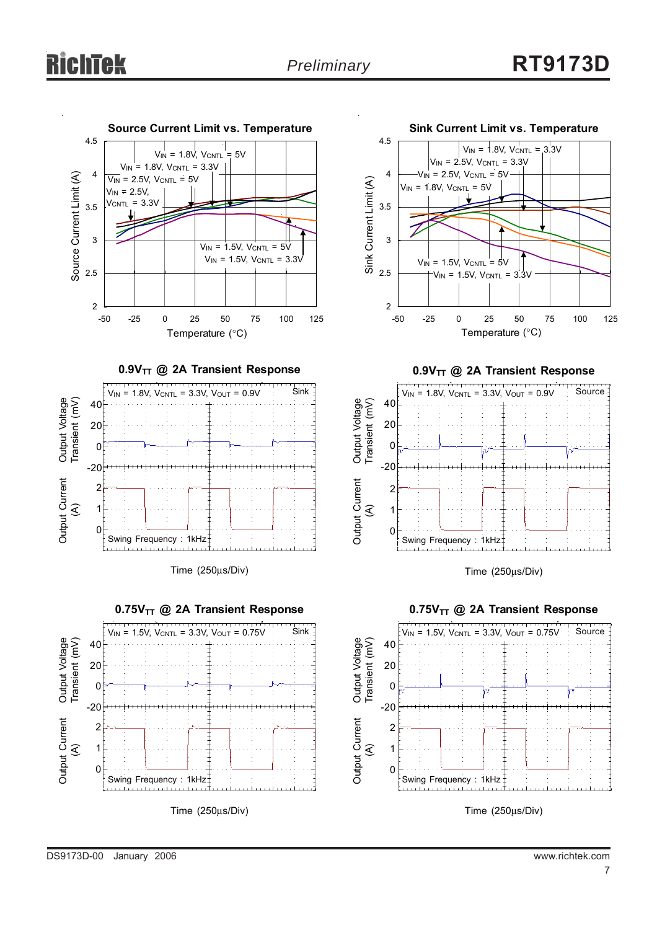



0.9V<sub>TT</sub> @ 2A Transient Response



Time (250μs/Div)



Swing Frequency : 1kHz

Time (250μs/Div)

-20

2 1  $\Omega$ 

Output Current Output Current<br>(A)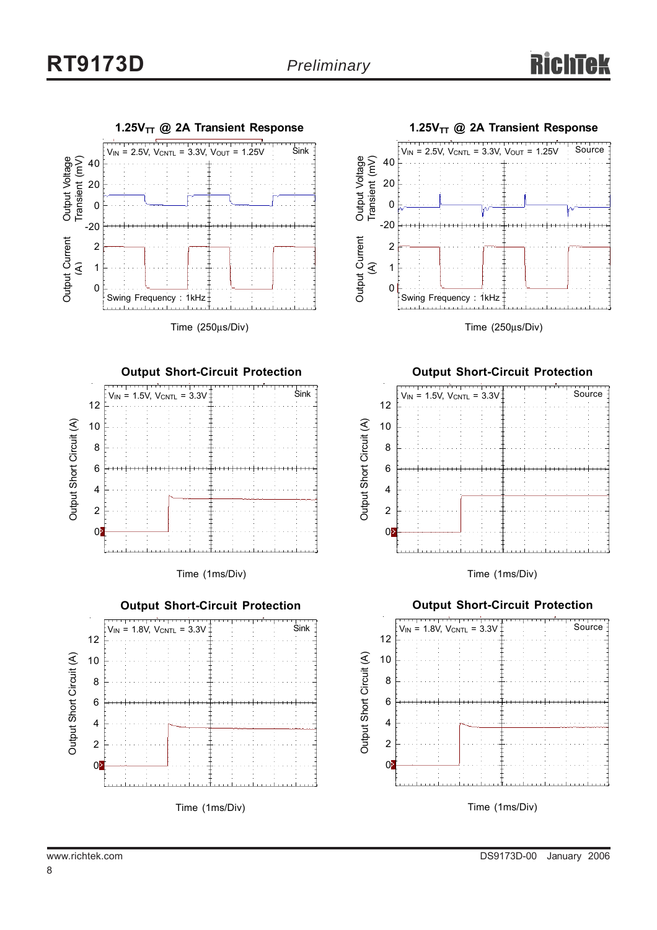

Time (250μs/Div)



Time (1ms/Div)





Time (250μs/Div)

#### **Output Short-Circuit Protection**



Time (1ms/Div)



www.richtek.com DS9173D-00 January 2006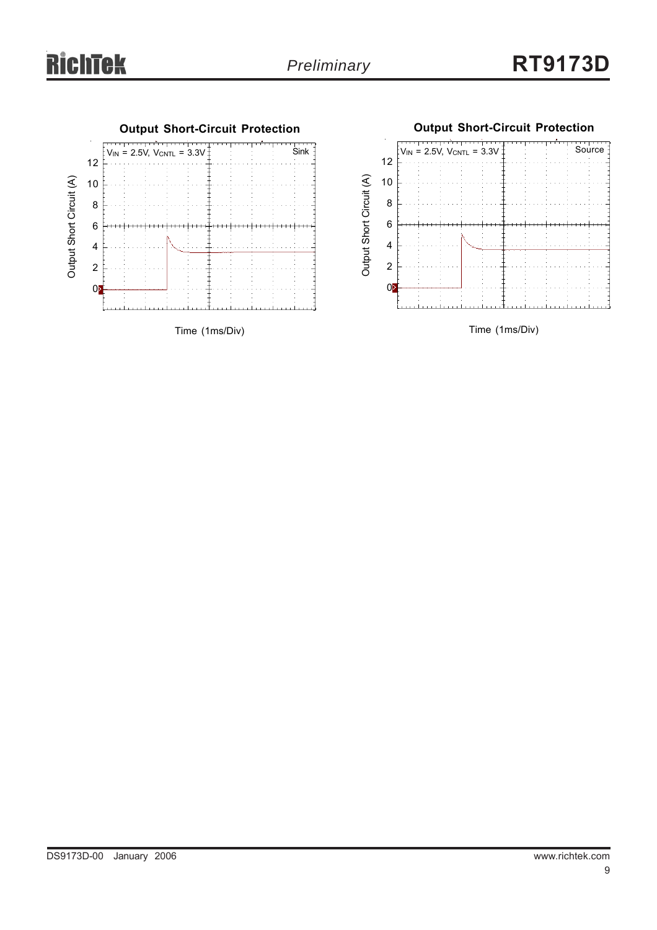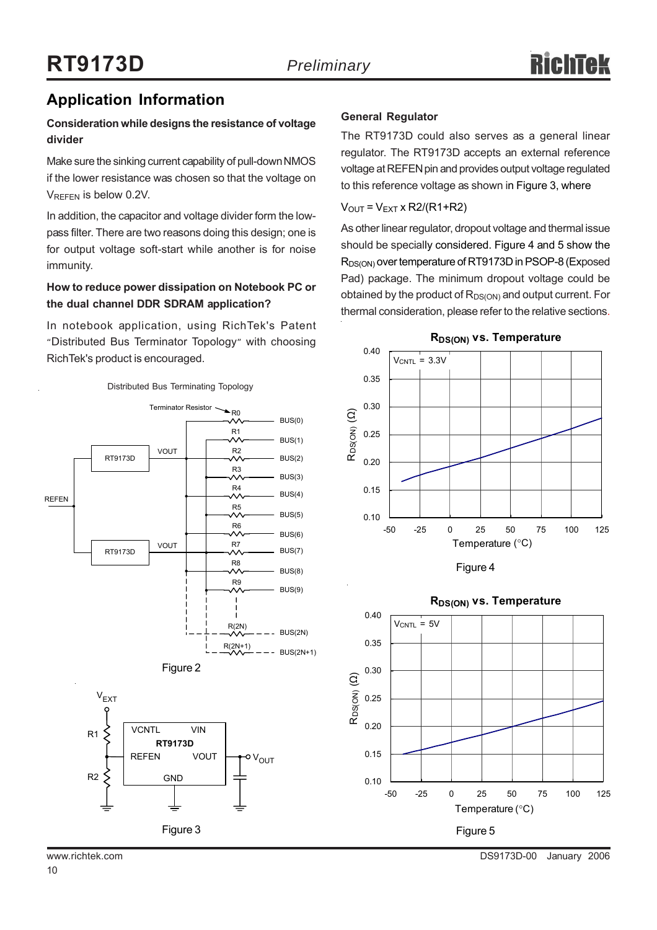## **Application Information**

### **Consideration while designs the resistance of voltage divider**

Make sure the sinking current capability of pull-down NMOS if the lower resistance was chosen so that the voltage on VREFEN is below 0.2V.

In addition, the capacitor and voltage divider form the lowpass filter. There are two reasons doing this design; one is for output voltage soft-start while another is for noise immunity.

### **How to reduce power dissipation on Notebook PC or the dual channel DDR SDRAM application?**

In notebook application, using RichTek's Patent "Distributed Bus Terminator Topology" with choosing RichTek's product is encouraged.



#### **General Regulator**

The RT9173D could also serves as a general linear regulator. The RT9173D accepts an external reference voltage at REFEN pin and provides output voltage regulated to this reference voltage as shown in Figure 3, where

#### $V_{OUT} = V_{EXT}$  x R2/(R1+R2)

As other linear regulator, dropout voltage and thermal issue should be specially considered. Figure 4 and 5 show the R<sub>DS(ON)</sub> over temperature of RT9173D in PSOP-8 (Exposed Pad) package. The minimum dropout voltage could be obtained by the product of  $R_{DS(ON)}$  and output current. For thermal consideration, please refer to the relative sections.







#### **RDS(ON) vs. Temperature**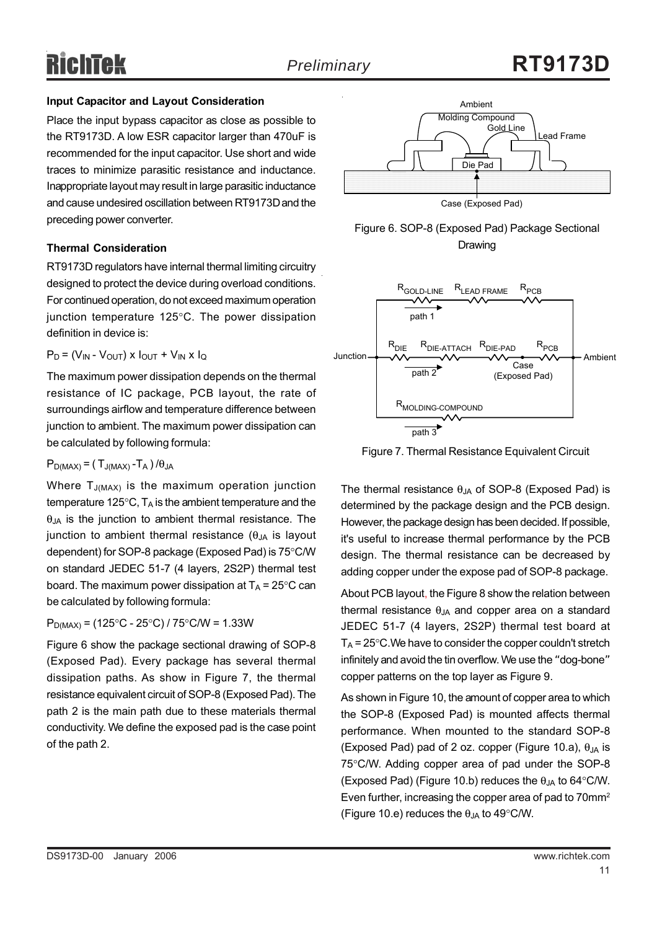#### **Input Capacitor and Layout Consideration**

Place the input bypass capacitor as close as possible to the RT9173D. A low ESR capacitor larger than 470uF is recommended for the input capacitor. Use short and wide traces to minimize parasitic resistance and inductance. Inappropriate layout may result in large parasitic inductance and cause undesired oscillation between RT9173D and the preceding power converter.

#### **Thermal Consideration**

RT9173D regulators have internal thermal limiting circuitry designed to protect the device during overload conditions. For continued operation, do not exceed maximum operation junction temperature 125°C. The power dissipation definition in device is:

$$
P_D = (V_{IN} - V_{OUT}) \times I_{OUT} + V_{IN} \times I_Q
$$

The maximum power dissipation depends on the thermal resistance of IC package, PCB layout, the rate of surroundings airflow and temperature difference between junction to ambient. The maximum power dissipation can be calculated by following formula:

 $P_{D(MAX)} = (T_{J(MAX)} - T_A) / \theta_{JA}$ 

Where  $T_{J(MAX)}$  is the maximum operation junction temperature 125 $\degree$ C, T<sub>A</sub> is the ambient temperature and the  $\theta_{JA}$  is the junction to ambient thermal resistance. The junction to ambient thermal resistance  $(\theta_{JA}$  is layout dependent) for SOP-8 package (Exposed Pad) is 75°C/W on standard JEDEC 51-7 (4 layers, 2S2P) thermal test board. The maximum power dissipation at  $T_A = 25^{\circ}$ C can be calculated by following formula:

 $P_{D(MAX)} = (125\degree C - 25\degree C) / 75\degree C/W = 1.33W$ 

Figure 6 show the package sectional drawing of SOP-8 (Exposed Pad). Every package has several thermal dissipation paths. As show in Figure 7, the thermal resistance equivalent circuit of SOP-8 (Exposed Pad). The path 2 is the main path due to these materials thermal conductivity. We define the exposed pad is the case point of the path 2.







Figure 7. Thermal Resistance Equivalent Circuit

The thermal resistance  $\theta_{JA}$  of SOP-8 (Exposed Pad) is determined by the package design and the PCB design. However, the package design has been decided. If possible, it's useful to increase thermal performance by the PCB design. The thermal resistance can be decreased by adding copper under the expose pad of SOP-8 package.

About PCB layout, the Figure 8 show the relation between thermal resistance  $\theta_{JA}$  and copper area on a standard JEDEC 51-7 (4 layers, 2S2P) thermal test board at  $T_A$  = 25 $\degree$ C. We have to consider the copper couldn't stretch infinitely and avoid the tin overflow. We use the "dog-bone" copper patterns on the top layer as Figure 9.

As shown in Figure 10, the amount of copper area to which the SOP-8 (Exposed Pad) is mounted affects thermal performance. When mounted to the standard SOP-8 (Exposed Pad) pad of 2 oz. copper (Figure 10.a),  $\theta_{\text{IA}}$  is 75°C/W. Adding copper area of pad under the SOP-8 (Exposed Pad) (Figure 10.b) reduces the  $\theta_{\text{IA}}$  to 64°C/W. Even further, increasing the copper area of pad to 70mm<sup>2</sup> (Figure 10.e) reduces the  $\theta_{JA}$  to 49°C/W.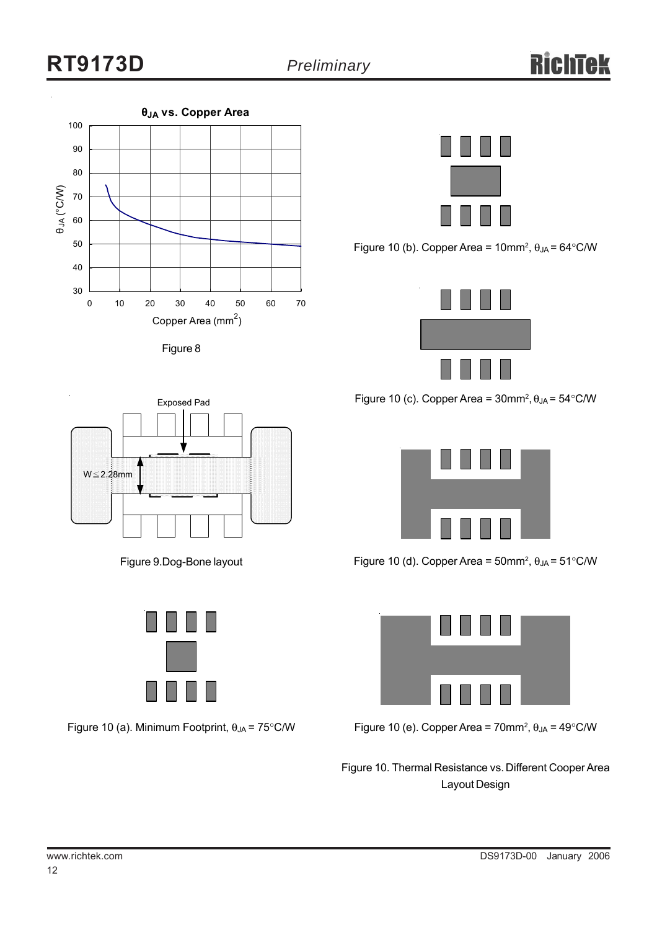





Figure 10 (b). Copper Area =  $10$ mm<sup>2</sup>,  $\theta_{JA}$  =  $64^{\circ}$ C/W



Figure 10 (c). Copper Area =  $30$ mm<sup>2</sup>,  $\theta_{JA}$  =  $54^{\circ}$ C/W



Figure 10 (d). Copper Area = 50mm<sup>2</sup>,  $\theta_{JA}$  = 51°C/W



Figure 10 (e). Copper Area = 70mm<sup>2</sup>,  $\theta_{JA}$  = 49°C/W

Figure 10. Thermal Resistance vs. Different Cooper Area Layout Design



Figure 9.Dog-Bone layout



Figure 10 (a). Minimum Footprint,  $\theta_{JA} = 75^{\circ}$ C/W